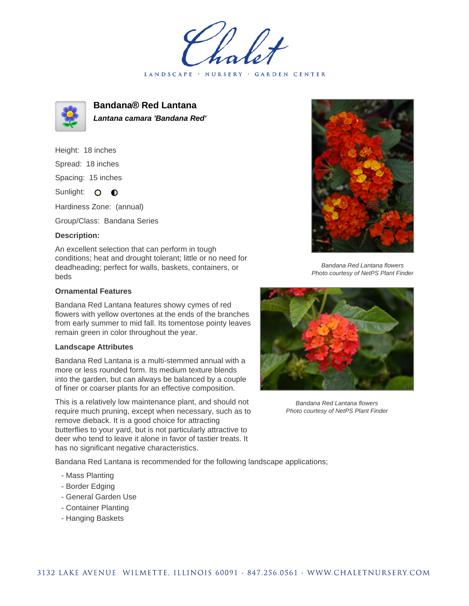LANDSCAPE · NURSERY · GARDEN CENTER



**Bandana® Red Lantana Lantana camara 'Bandana Red'**

Height: 18 inches Spread: 18 inches Spacing: 15 inches

Sunlight: O **O** 

Hardiness Zone: (annual)

Group/Class: Bandana Series

## **Description:**

An excellent selection that can perform in tough conditions; heat and drought tolerant; little or no need for deadheading; perfect for walls, baskets, containers, or beds

## **Ornamental Features**

Bandana Red Lantana features showy cymes of red flowers with yellow overtones at the ends of the branches from early summer to mid fall. Its tomentose pointy leaves remain green in color throughout the year.

## **Landscape Attributes**

Bandana Red Lantana is a multi-stemmed annual with a more or less rounded form. Its medium texture blends into the garden, but can always be balanced by a couple of finer or coarser plants for an effective composition.

This is a relatively low maintenance plant, and should not require much pruning, except when necessary, such as to remove dieback. It is a good choice for attracting butterflies to your yard, but is not particularly attractive to deer who tend to leave it alone in favor of tastier treats. It has no significant negative characteristics.

Bandana Red Lantana is recommended for the following landscape applications;

- Mass Planting
- Border Edging
- General Garden Use
- Container Planting
- Hanging Baskets



Bandana Red Lantana flowers Photo courtesy of NetPS Plant Finder



Bandana Red Lantana flowers Photo courtesy of NetPS Plant Finder